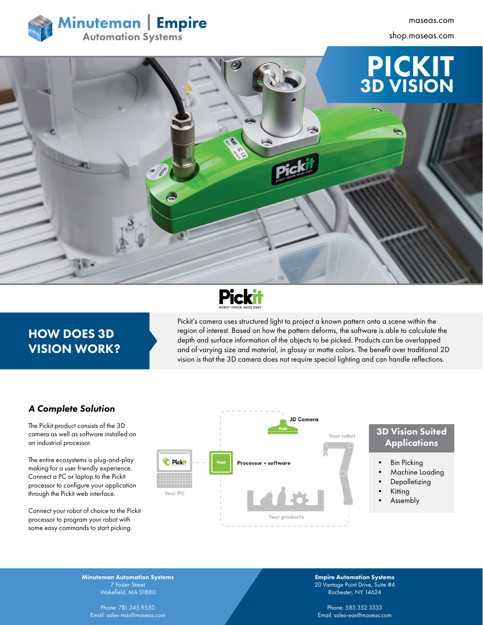

shop.maseas.com





# HOW DOES 3D VISION WORK?

Pickit's camera uses structured light to project a known pattern onto a scene within the region of interest. Based on how the pattern deforms, the software is able to calculate the depth and surface information of the objects to be picked. Products can be overlapped and of varying size and material, in glossy or matte colors. The benefit over traditional 2D vision is that the 3D camera does not require special lighting and can handle reflections.

#### *A Complete Solution*

The Pickit product consists of the 3D camera as well as software installed on an industrial processor.

The entire ecosystems is plug-and-play making for a user friendly experience. Connect a PC or laptop to the Pickit processor to configure your application through the Pickit web interface.

Connect your robot of choice to the Pickit processor to program your robot with some easy commands to start picking.



### 3D Vision Suited **Applications**

- **Bin Picking**
- Machine Loading
- **Depalletizing**
- Kitting
- Assembly

Minuteman Automation Systems Wakefield, MA 01880

Phone: 781.245.9550 Email: sales-mas@maseas.com Empire Automation Systems 20 Vantage Point Drive, Suite #4 Rochester, NY 14624

Phone: 585.352.3333 Email: sales-eas@maseas.com